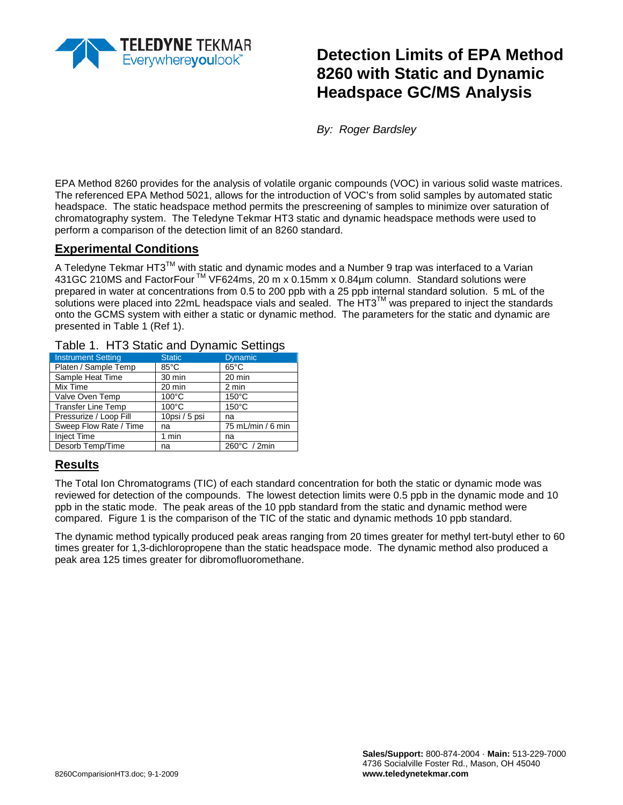

# **Detection Limits of EPA Method 8260 with Static and Dynamic Headspace GC/MS Analysis**

*By: Roger Bardsley* 

EPA Method 8260 provides for the analysis of volatile organic compounds (VOC) in various solid waste matrices. The referenced EPA Method 5021, allows for the introduction of VOC's from solid samples by automated static headspace. The static headspace method permits the prescreening of samples to minimize over saturation of chromatography system. The Teledyne Tekmar HT3 static and dynamic headspace methods were used to perform a comparison of the detection limit of an 8260 standard.

### **Experimental Conditions**

A Teledyne Tekmar HT3™ with static and dynamic modes and a Number 9 trap was interfaced to a Varian 431GC 210MS and FactorFour<sup>™</sup> VF624ms, 20 m x 0.15mm x 0.84µm column. Standard solutions were prepared in water at concentrations from 0.5 to 200 ppb with a 25 ppb internal standard solution. 5 mL of the solutions were placed into 22mL headspace vials and sealed. The HT3™ was prepared to inject the standards onto the GCMS system with either a static or dynamic method. The parameters for the static and dynamic are presented in Table 1 (Ref 1).

#### Table 1. HT3 Static and Dynamic Settings

| <b>Instrument Setting</b> | <b>Static</b>   | <b>Dynamic</b>    |
|---------------------------|-----------------|-------------------|
| Platen / Sample Temp      | 85°C            | $65^{\circ}$ C    |
| Sample Heat Time          | 30 min          | 20 min            |
| Mix Time                  | 20 min          | 2 min             |
| Valve Oven Temp           | $100^{\circ}$ C | $150^{\circ}$ C   |
| <b>Transfer Line Temp</b> | $100^{\circ}$ C | $150^{\circ}$ C   |
| Pressurize / Loop Fill    | 10psi / 5 psi   | na                |
| Sweep Flow Rate / Time    | na              | 75 mL/min / 6 min |
| <b>Inject Time</b>        | 1 min           | na                |
| Desorb Temp/Time          | na              | 260°C / 2min      |

### **Results**

The Total Ion Chromatograms (TIC) of each standard concentration for both the static or dynamic mode was reviewed for detection of the compounds. The lowest detection limits were 0.5 ppb in the dynamic mode and 10 ppb in the static mode. The peak areas of the 10 ppb standard from the static and dynamic method were compared. Figure 1 is the comparison of the TIC of the static and dynamic methods 10 ppb standard.

The dynamic method typically produced peak areas ranging from 20 times greater for methyl tert-butyl ether to 60 times greater for 1,3-dichloropropene than the static headspace mode. The dynamic method also produced a peak area 125 times greater for dibromofluoromethane.